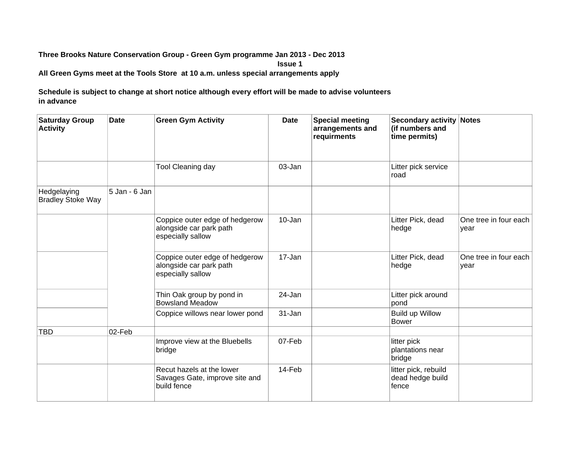## **Three Brooks Nature Conservation Group - Green Gym programme Jan 2013 - Dec 2013**

**Issue 1**

**All Green Gyms meet at the Tools Store at 10 a.m. unless special arrangements apply**

**Schedule is subject to change at short notice although every effort will be made to advise volunteers in advance**

| <b>Saturday Group</b><br><b>Activity</b> | Date          | <b>Green Gym Activity</b>                                                      | <b>Date</b> | <b>Special meeting</b><br>arrangements and<br>requirments | <b>Secondary activity Notes</b><br>(if numbers and<br>time permits) |                               |
|------------------------------------------|---------------|--------------------------------------------------------------------------------|-------------|-----------------------------------------------------------|---------------------------------------------------------------------|-------------------------------|
|                                          |               | <b>Tool Cleaning day</b>                                                       | 03-Jan      |                                                           | Litter pick service<br>road                                         |                               |
| Hedgelaying<br><b>Bradley Stoke Way</b>  | 5 Jan - 6 Jan |                                                                                |             |                                                           |                                                                     |                               |
|                                          |               | Coppice outer edge of hedgerow<br>alongside car park path<br>especially sallow | 10-Jan      |                                                           | Litter Pick, dead<br>hedge                                          | One tree in four each<br>year |
|                                          |               | Coppice outer edge of hedgerow<br>alongside car park path<br>especially sallow | 17-Jan      |                                                           | Litter Pick, dead<br>hedge                                          | One tree in four each<br>year |
|                                          |               | Thin Oak group by pond in<br><b>Bowsland Meadow</b>                            | 24-Jan      |                                                           | Litter pick around<br>pond                                          |                               |
|                                          |               | Coppice willows near lower pond                                                | $31 - Jan$  |                                                           | Build up Willow<br><b>Bower</b>                                     |                               |
| <b>TBD</b>                               | 02-Feb        |                                                                                |             |                                                           |                                                                     |                               |
|                                          |               | Improve view at the Bluebells<br>bridge                                        | 07-Feb      |                                                           | litter pick<br>plantations near<br>bridge                           |                               |
|                                          |               | Recut hazels at the lower<br>Savages Gate, improve site and<br>build fence     | 14-Feb      |                                                           | litter pick, rebuild<br>dead hedge build<br>fence                   |                               |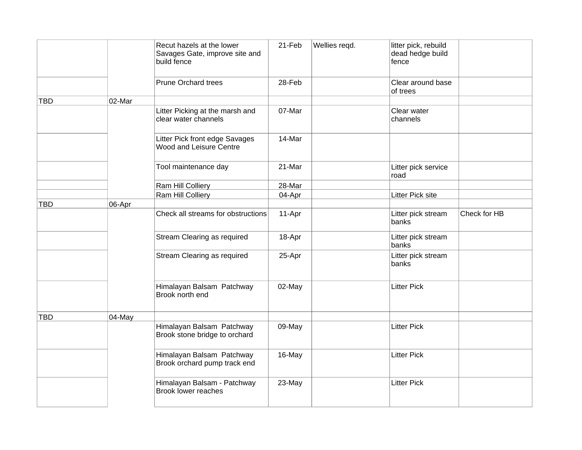|            |        | Recut hazels at the lower<br>Savages Gate, improve site and<br>build fence | 21-Feb | Wellies regd. | litter pick, rebuild<br>dead hedge build<br>fence |              |
|------------|--------|----------------------------------------------------------------------------|--------|---------------|---------------------------------------------------|--------------|
|            |        | <b>Prune Orchard trees</b>                                                 | 28-Feb |               | Clear around base<br>of trees                     |              |
| <b>TBD</b> | 02-Mar |                                                                            |        |               |                                                   |              |
|            |        | Litter Picking at the marsh and<br>clear water channels                    | 07-Mar |               | Clear water<br>channels                           |              |
|            |        | Litter Pick front edge Savages<br>Wood and Leisure Centre                  | 14-Mar |               |                                                   |              |
|            |        | Tool maintenance day                                                       | 21-Mar |               | Litter pick service<br>road                       |              |
|            |        | Ram Hill Colliery                                                          | 28-Mar |               |                                                   |              |
|            |        | Ram Hill Colliery                                                          | 04-Apr |               | <b>Litter Pick site</b>                           |              |
| <b>TBD</b> | 06-Apr |                                                                            |        |               |                                                   |              |
|            |        | Check all streams for obstructions                                         | 11-Apr |               | Litter pick stream<br>banks                       | Check for HB |
|            |        | Stream Clearing as required                                                | 18-Apr |               | Litter pick stream<br>banks                       |              |
|            |        | Stream Clearing as required                                                | 25-Apr |               | Litter pick stream<br>banks                       |              |
|            |        | Himalayan Balsam Patchway<br>Brook north end                               | 02-May |               | <b>Litter Pick</b>                                |              |
| <b>TBD</b> | 04-May |                                                                            |        |               |                                                   |              |
|            |        | Himalayan Balsam Patchway<br>Brook stone bridge to orchard                 | 09-May |               | <b>Litter Pick</b>                                |              |
|            |        | Himalayan Balsam Patchway<br>Brook orchard pump track end                  | 16-May |               | <b>Litter Pick</b>                                |              |
|            |        | Himalayan Balsam - Patchway<br><b>Brook lower reaches</b>                  | 23-May |               | <b>Litter Pick</b>                                |              |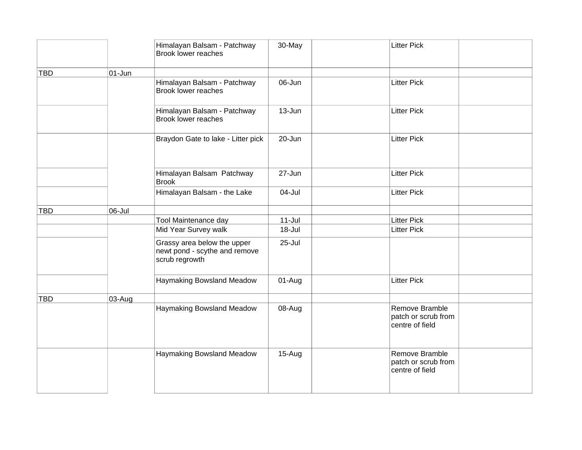|            |            | Himalayan Balsam - Patchway<br>Brook lower reaches                             | 30-May     | <b>Litter Pick</b>                                       |
|------------|------------|--------------------------------------------------------------------------------|------------|----------------------------------------------------------|
| <b>TBD</b> | $01 - Jun$ |                                                                                |            |                                                          |
|            |            | Himalayan Balsam - Patchway<br><b>Brook lower reaches</b>                      | 06-Jun     | <b>Litter Pick</b>                                       |
|            |            | Himalayan Balsam - Patchway<br><b>Brook lower reaches</b>                      | $13 - Jun$ | <b>Litter Pick</b>                                       |
|            |            | Braydon Gate to lake - Litter pick                                             | 20-Jun     | <b>Litter Pick</b>                                       |
|            |            | Himalayan Balsam Patchway<br><b>Brook</b>                                      | $27 - Jun$ | <b>Litter Pick</b>                                       |
|            |            | Himalayan Balsam - the Lake                                                    | 04-Jul     | <b>Litter Pick</b>                                       |
| <b>TBD</b> | 06-Jul     |                                                                                |            |                                                          |
|            |            | Tool Maintenance day                                                           | $11 -$ Jul | <b>Litter Pick</b>                                       |
|            |            | Mid Year Survey walk                                                           | 18-Jul     | <b>Litter Pick</b>                                       |
|            |            | Grassy area below the upper<br>newt pond - scythe and remove<br>scrub regrowth | 25-Jul     |                                                          |
|            |            | Haymaking Bowsland Meadow                                                      | 01-Aug     | <b>Litter Pick</b>                                       |
| <b>TBD</b> | 03-Aug     |                                                                                |            |                                                          |
|            |            | Haymaking Bowsland Meadow                                                      | 08-Aug     | Remove Bramble<br>patch or scrub from<br>centre of field |
|            |            | Haymaking Bowsland Meadow                                                      | 15-Aug     | Remove Bramble<br>patch or scrub from<br>centre of field |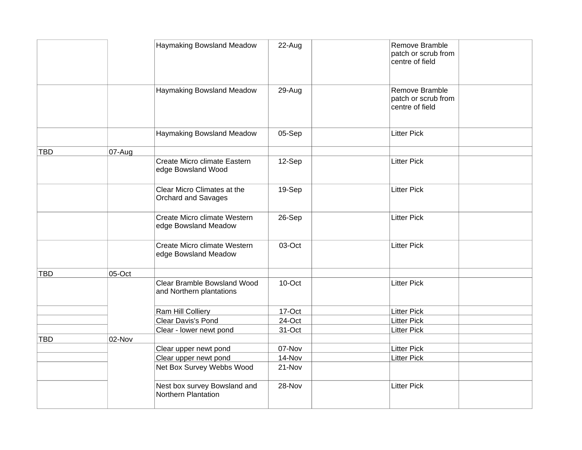|            |        | Haymaking Bowsland Meadow                               | 22-Aug | Remove Bramble<br>patch or scrub from<br>centre of field |
|------------|--------|---------------------------------------------------------|--------|----------------------------------------------------------|
|            |        | Haymaking Bowsland Meadow                               | 29-Aug | Remove Bramble<br>patch or scrub from<br>centre of field |
|            |        | Haymaking Bowsland Meadow                               | 05-Sep | <b>Litter Pick</b>                                       |
| <b>TBD</b> | 07-Aug |                                                         |        |                                                          |
|            |        | Create Micro climate Eastern<br>edge Bowsland Wood      | 12-Sep | <b>Litter Pick</b>                                       |
|            |        | Clear Micro Climates at the<br>Orchard and Savages      | 19-Sep | <b>Litter Pick</b>                                       |
|            |        | Create Micro climate Western<br>edge Bowsland Meadow    | 26-Sep | <b>Litter Pick</b>                                       |
|            |        | Create Micro climate Western<br>edge Bowsland Meadow    | 03-Oct | <b>Litter Pick</b>                                       |
| <b>TBD</b> | 05-Oct |                                                         |        |                                                          |
|            |        | Clear Bramble Bowsland Wood<br>and Northern plantations | 10-Oct | <b>Litter Pick</b>                                       |
|            |        | Ram Hill Colliery                                       | 17-Oct | <b>Litter Pick</b>                                       |
|            |        | Clear Davis's Pond                                      | 24-Oct | <b>Litter Pick</b>                                       |
|            |        | Clear - lower newt pond                                 | 31-Oct | <b>Litter Pick</b>                                       |
| <b>TBD</b> | 02-Nov |                                                         |        |                                                          |
|            |        | Clear upper newt pond                                   | 07-Nov | <b>Litter Pick</b>                                       |
|            |        | Clear upper newt pond                                   | 14-Nov | <b>Litter Pick</b>                                       |
|            |        | Net Box Survey Webbs Wood                               | 21-Nov |                                                          |
|            |        | Nest box survey Bowsland and<br>Northern Plantation     | 28-Nov | <b>Litter Pick</b>                                       |